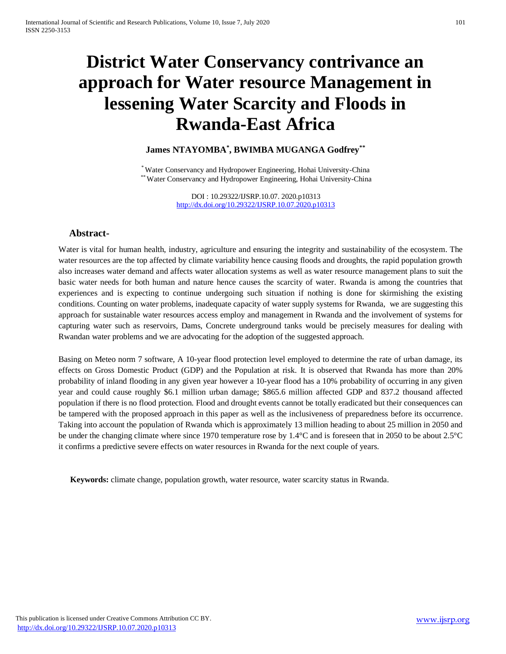# **District Water Conservancy contrivance an approach for Water resource Management in lessening Water Scarcity and Floods in Rwanda-East Africa**

# **James NTAYOMBA\* , BWIMBA MUGANGA Godfrey\*\***

\* Water Conservancy and Hydropower Engineering, Hohai University-China \*\* Water Conservancy and Hydropower Engineering, Hohai University-China

> DOI : 10.29322/IJSRP.10.07. 2020.p10313 <http://dx.doi.org/10.29322/IJSRP.10.07.2020.p10313>

# **Abstract-**

Water is vital for human health, industry, agriculture and ensuring the integrity and sustainability of the ecosystem. The water resources are the top affected by climate variability hence causing floods and droughts, the rapid population growth also increases water demand and affects water allocation systems as well as water resource management plans to suit the basic water needs for both human and nature hence causes the scarcity of water. Rwanda is among the countries that experiences and is expecting to continue undergoing such situation if nothing is done for skirmishing the existing conditions. Counting on water problems, inadequate capacity of water supply systems for Rwanda, we are suggesting this approach for sustainable water resources access employ and management in Rwanda and the involvement of systems for capturing water such as reservoirs, Dams, Concrete underground tanks would be precisely measures for dealing with Rwandan water problems and we are advocating for the adoption of the suggested approach.

Basing on Meteo norm 7 software, A 10-year flood protection level employed to determine the rate of urban damage, its effects on Gross Domestic Product (GDP) and the Population at risk. It is observed that Rwanda has more than 20% probability of inland flooding in any given year however a 10-year flood has a 10% probability of occurring in any given year and could cause roughly \$6.1 million urban damage; \$865.6 million affected GDP and 837.2 thousand affected population if there is no flood protection. Flood and drought events cannot be totally eradicated but their consequences can be tampered with the proposed approach in this paper as well as the inclusiveness of preparedness before its occurrence. Taking into account the population of Rwanda which is approximately 13 million heading to about 25 million in 2050 and be under the changing climate where since 1970 temperature rose by 1.4°C and is foreseen that in 2050 to be about 2.5°C it confirms a predictive severe effects on water resources in Rwanda for the next couple of years.

**Keywords:** climate change, population growth, water resource, water scarcity status in Rwanda.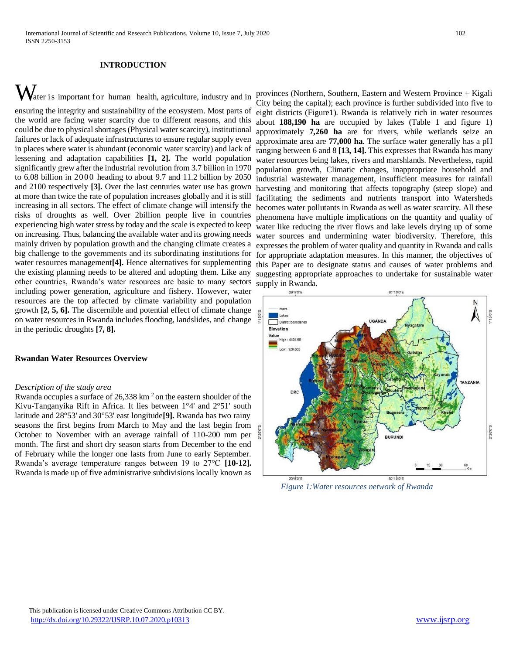# **INTRODUCTION**

 $\mathbf{W}_{\text{ater i s important for human health, agriculture, industry and in}}$ ensuring the integrity and sustainability of the ecosystem. Most parts of the world are facing water scarcity due to different reasons, and this could be due to physical shortages (Physical water scarcity), institutional failures or lack of adequate infrastructures to ensure regular supply even in places where water is abundant (economic water scarcity) and lack of lessening and adaptation capabilities **[\[1,](#page-6-0) [2\]](#page-6-1).** The world population significantly grew after the industrial revolution from 3.7 billion in 1970 to 6.08 billion in 2000 heading to about 9.7 and 11.2 billion by 2050 and 2100 respectively **[\[3\]](#page-6-2).** Over the last centuries water use has grown at more than twice the rate of population increases globally and it is still increasing in all sectors. The effect of climate change will intensify the risks of droughts as well. Over 2billion people live in countries experiencing high water stress by today and the scale is expected to keep on increasing. Thus, balancing the available water and its growing needs mainly driven by population growth and the changing climate creates a big challenge to the governments and its subordinating institutions for water resources management**[\[4\]](#page-6-3).** Hence alternatives for supplementing the existing planning needs to be altered and adopting them. Like any other countries, Rwanda's water resources are basic to many sectors including power generation, agriculture and fishery. However, water resources are the top affected by climate variability and population growth **[\[2,](#page-6-1) [5,](#page-6-4) [6\]](#page-6-5).** The discernible and potential effect of climate change on water resources in Rwanda includes flooding, landslides, and change in the periodic droughts **[\[7,](#page-6-6) [8\]](#page-6-7).**

#### **Rwandan Water Resources Overview**

#### *Description of the study area*

Rwanda occupies a surface of  $26,338$  km<sup>2</sup> on the eastern shoulder of the Kivu-Tanganyika Rift in Africa. It lies between 1°4' and 2°51' south latitude and 28°53' and 30°53' east longitude**[\[9\]](#page-6-8).** Rwanda has two rainy seasons the first begins from March to May and the last begin from October to November with an average rainfall of 110-200 mm per month. The first and short dry season starts from December to the end of February while the longer one lasts from June to early September. Rwanda's average temperature ranges between 19 to 27°C **[\[10-12\]](#page-6-9).**  Rwanda is made up of five administrative subdivisions locally known as

provinces (Northern, Southern, Eastern and Western Province + Kigali City being the capital); each province is further subdivided into five to eight districts (Figure1). Rwanda is relatively rich in water resources about **188,190 ha** are occupied by lakes (Table 1 and figure 1) approximately **7,260 ha** are for rivers, while wetlands seize an approximate area are **77,000 ha**. The surface water generally has a pH ranging between 6 and 8 **[\[13,](#page-6-10) [14\]](#page-6-11).** This expresses that Rwanda has many water resources being lakes, rivers and marshlands. Nevertheless, rapid population growth, Climatic changes, inappropriate household and industrial wastewater management, insufficient measures for rainfall harvesting and monitoring that affects topography (steep slope) and facilitating the sediments and nutrients transport into Watersheds becomes water pollutants in Rwanda as well as water scarcity. All these phenomena have multiple implications on the quantity and quality of water like reducing the river flows and lake levels drying up of some water sources and undermining water biodiversity. Therefore, this expresses the problem of water quality and quantity in Rwanda and calls for appropriate adaptation measures. In this manner, the objectives of this Paper are to designate status and causes of water problems and suggesting appropriate approaches to undertake for sustainable water supply in Rwanda.



 *Figure 1:Water resources network of Rwanda*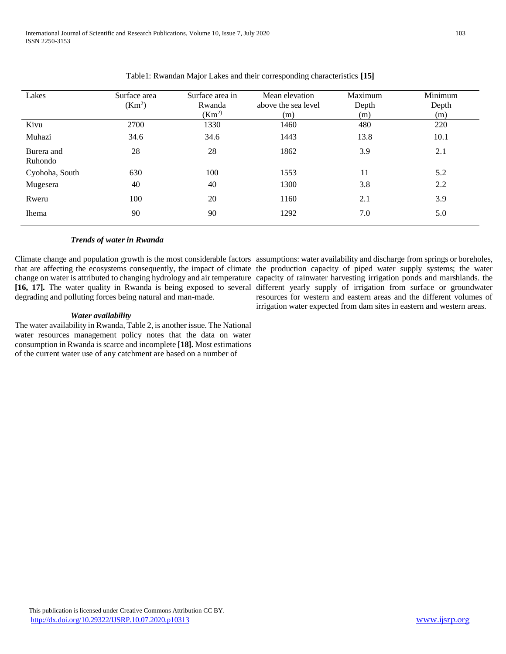| Lakes                 | Surface area<br>(Km <sup>2</sup> ) | Surface area in<br>Rwanda<br>(Km <sup>2</sup> ) | Mean elevation<br>above the sea level<br>(m) | Maximum<br>Depth<br>(m) | Minimum<br>Depth<br>(m) |
|-----------------------|------------------------------------|-------------------------------------------------|----------------------------------------------|-------------------------|-------------------------|
| Kivu                  | 2700                               | 1330                                            | 1460                                         | 480                     | 220                     |
| Muhazi                | 34.6                               | 34.6                                            | 1443                                         | 13.8                    | 10.1                    |
| Burera and<br>Ruhondo | 28                                 | 28                                              | 1862                                         | 3.9                     | 2.1                     |
| Cyohoha, South        | 630                                | 100                                             | 1553                                         | 11                      | 5.2                     |
| Mugesera              | 40                                 | 40                                              | 1300                                         | 3.8                     | 2.2                     |
| Rweru                 | 100                                | 20                                              | 1160                                         | 2.1                     | 3.9                     |
| <b>Ihema</b>          | 90                                 | 90                                              | 1292                                         | 7.0                     | 5.0                     |

# Table1: Rwandan Major Lakes and their corresponding characteristics **[\[15\]](#page-6-12)**

### *Trends of water in Rwanda*

Climate change and population growth is the most considerable factors assumptions: water availability and discharge from springs or boreholes, that are affecting the ecosystems consequently, the impact of climate the production capacity of piped water supply systems; the water change on water is attributed to changing hydrology and air temperature capacity of rainwater harvesting irrigation ponds and marshlands. the **[\[16,](#page-6-13) [17\]](#page-6-14).** The water quality in Rwanda is being exposed to several different yearly supply of irrigation from surface or groundwater degrading and polluting forces being natural and man-made.

#### *Water availability*

The water availability in Rwanda, Table 2, is another issue. The National water resources management policy notes that the data on water consumption in Rwanda is scarce and incomplete **[\[18\]](#page-7-0).** Most estimations of the current water use of any catchment are based on a number of

resources for western and eastern areas and the different volumes of irrigation water expected from dam sites in eastern and western areas.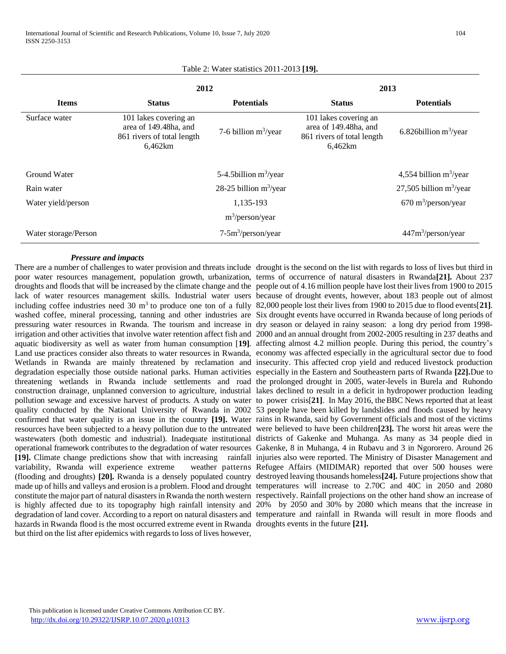|                      | 2012                                                                                    |                           | 2013                                                                                    |                                      |  |  |  |  |
|----------------------|-----------------------------------------------------------------------------------------|---------------------------|-----------------------------------------------------------------------------------------|--------------------------------------|--|--|--|--|
| <b>Items</b>         | <b>Status</b>                                                                           | <b>Potentials</b>         | <b>Status</b>                                                                           | <b>Potentials</b>                    |  |  |  |  |
| Surface water        | 101 lakes covering an<br>area of 149.48ha, and<br>861 rivers of total length<br>6,462km | 7-6 billion $m^3$ /year   | 101 lakes covering an<br>area of 149.48ha, and<br>861 rivers of total length<br>6,462km | 6.826 billion $m^3$ /year            |  |  |  |  |
| Ground Water         |                                                                                         | 5-4.5 billion $m^3$ /year |                                                                                         | 4,554 billion $m^3$ /year            |  |  |  |  |
| Rain water           |                                                                                         | 28-25 billion $m^3$ /year |                                                                                         | 27,505 billion $m^3$ /year           |  |  |  |  |
| Water yield/person   |                                                                                         | 1.135-193                 |                                                                                         | $670 \text{ m}^3/\text{person/year}$ |  |  |  |  |
| $m^3$ /person/year   |                                                                                         |                           |                                                                                         |                                      |  |  |  |  |
| Water storage/Person |                                                                                         | $7-5m^3/person/year$      |                                                                                         | 447m <sup>3</sup> /person/year       |  |  |  |  |

#### Table 2: Water statistics 2011-2013 **[\[19\]](#page-7-1).**

# *Pressure and impacts*

pressuring water resources in Rwanda. The tourism and increase in dry season or delayed in rainy season: a long dry period from 1998threatening wetlands in Rwanda include settlements and road the prolonged drought in 2005, water-levels in Burela and Ruhondo variability, Rwanda will experience extreme hazards in Rwanda flood is the most occurred extreme event in Rwanda droughts events in the future **[\[21\]](#page-7-3).**but third on the list after epidemics with regards to loss of lives however,

There are a number of challenges to water provision and threats include drought is the second on the list with regards to loss of lives but third in poor water resources management, population growth, urbanization, terms of occurrence of natural disasters in Rwanda**[\[21\]](#page-7-3).** About 237 droughts and floods that will be increased by the climate change and the people out of 4.16 million people have lost their lives from 1900 to 2015 lack of water resources management skills. Industrial water users because of drought events, however, about 183 people out of almost including coffee industries need 30 m<sup>3</sup> to produce one ton of a fully 82,000 people lost their lives from 1900 to 2015 due to flood events[[21\]](#page-7-3). washed coffee, mineral processing, tanning and other industries are Six drought events have occurred in Rwanda because of long periods of irrigation and other activities that involve water retention affect fish and 2000 and an annual drought from 2002-2005 resulting in 237 deaths and aquatic biodiversity as well as water from human consumption [**[19\]](#page-7-1)**. affecting almost 4.2 million people. During this period, the country's Land use practices consider also threats to water resources in Rwanda, economy was affected especially in the agricultural sector due to food Wetlands in Rwanda are mainly threatened by reclamation and insecurity. This affected crop yield and reduced livestock production degradation especially those outside national parks. Human activities especially in the Eastern and Southeastern parts of Rwanda **[\[22\]](#page-7-4).**Due to construction drainage, unplanned conversion to agriculture, industrial lakes declined to result in a deficit in hydropower production leading pollution sewage and excessive harvest of products. A study on water to power crisis[**[21\]](#page-7-3)**. In May 2016, theBBC News reported that at least quality conducted by the National University of Rwanda in 2002 53 people have been killed by landslides and floods caused by heavy confirmed that water quality is an issue in the country **[\[19\]](#page-7-1).** Water rains in Rwanda, said by Government officials and most of the victims resources have been subjected to a heavy pollution due to the untreated were believed to have been children**[\[23\]](#page-7-5).** The worst hit areas were the wastewaters (both domestic and industrial). Inadequate institutional districts of Gakenke and Muhanga. As many as 34 people died in operational framework contributes to the degradation of water resources Gakenke, 8 in Muhanga, 4 in Rubavu and 3 in Ngororero. Around 26 **[\[19\]](#page-7-1).** Climate change predictions show that with increasing rainfall injuries also were reported. The Ministry of Disaster Management and (flooding and droughts) **[\[20\]](#page-7-2).** Rwanda is a densely populated country destroyed leaving thousands homeless**[\[24\]](#page-7-6).** Future projections show that made up of hills and valleys and erosion is a problem. Flood and drought temperatures will increase to 2.70C and 40C in 2050 and 2080 constitute the major part of natural disasters in Rwanda the north western respectively. Rainfall projections on the other hand show an increase of is highly affected due to its topography high rainfall intensity and 20% by 2050 and 30% by 2080 which means that the increase in degradation of land cover. According to a report on natural disasters and temperature and rainfall in Rwanda will result in more floods and weather patterns Refugee Affairs (MIDIMAR) reported that over 500 houses were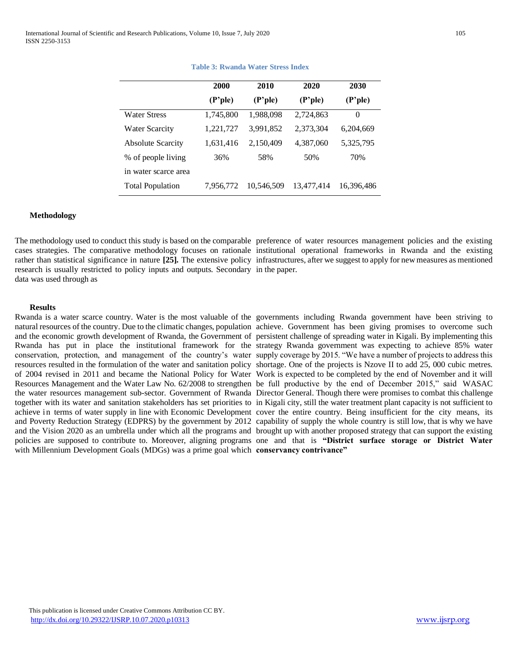|                          | 2000      | 2010       | 2020               | 2030       |
|--------------------------|-----------|------------|--------------------|------------|
|                          | (P'ple)   | (P'ple)    | $(P^{\prime}$ ple) | (P'ple)    |
| <b>Water Stress</b>      | 1,745,800 | 1,988,098  | 2,724,863          | $\Omega$   |
| <b>Water Scarcity</b>    | 1,221,727 | 3,991,852  | 2,373,304          | 6,204,669  |
| <b>Absolute Scarcity</b> | 1,631,416 | 2,150,409  | 4,387,060          | 5,325,795  |
| % of people living       | 36%       | 58%        | 50%                | 70%        |
| in water scarce area     |           |            |                    |            |
| <b>Total Population</b>  | 7,956,772 | 10,546,509 | 13,477,414         | 16,396,486 |

#### **Table 3: Rwanda Water Stress Index**

#### **Methodology**

The methodology used to conduct this study is based on the comparable preference of water resources management policies and the existing cases strategies. The comparative methodology focuses on rationale institutional operational frameworks in Rwanda and the existing rather than statistical significance in nature **[\[25\]](#page-7-7).** The extensive policy infrastructures, after we suggest to apply for new measures as mentioned research is usually restricted to policy inputs and outputs. Secondary in the paper. data was used through as

#### **Results**

natural resources of the country. Due to the climatic changes, population achieve. Government has been giving promises to overcome such and the economic growth development of Rwanda, the Government of persistent challenge of spreading water in Kigali. By implementing this Rwanda has put in place the institutional framework for the strategy Rwanda government was expecting to achieve 85% water conservation, protection, and management of the country's water supply coverage by 2015. "We have a number of projects to address this resources resulted in the formulation of the water and sanitation policy shortage. One of the projects is Nzove II to add 25, 000 cubic metres. of 2004 revised in 2011 and became the National Policy for Water Work is expected to be completed by the end of November and it will Resources Management and the Water Law No. 62/2008 to strengthen be full productive by the end of December 2015," said WASAC the water resources management sub-sector. Government of Rwanda Director General. Though there were promises to combat this challenge together with its water and sanitation stakeholders has set priorities to in Kigali city, still the water treatment plant capacity is not sufficient to achieve in terms of water supply in line with Economic Development cover the entire country. Being insufficient for the city means, its and Poverty Reduction Strategy (EDPRS) by the government by 2012 capability of supply the whole country is still low, that is why we have and the Vision 2020 as an umbrella under which all the programs and brought up with another proposed strategy that can support the existing policies are supposed to contribute to. Moreover, aligning programs one and that is **"District surface storage or District Water**  with Millennium Development Goals (MDGs) was a prime goal which **conservancy contrivance"**

Rwanda is a water scarce country. Water is the most valuable of the governments including Rwanda government have been striving to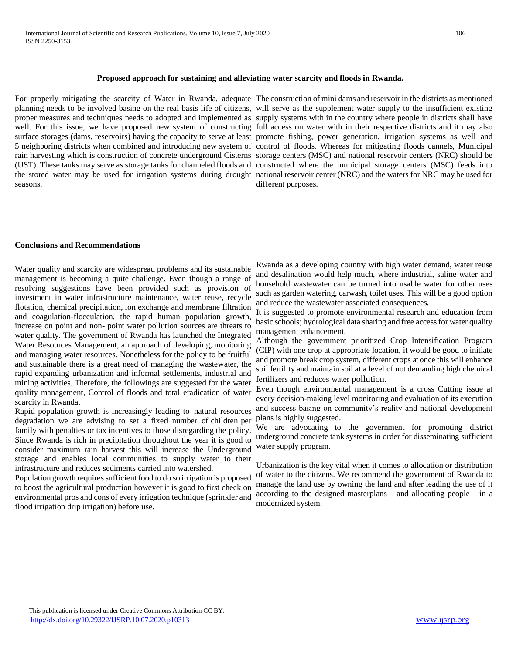# **Proposed approach for sustaining and alleviating water scarcity and floods in Rwanda.**

planning needs to be involved basing on the real basis life of citizens, will serve as the supplement water supply to the insufficient existing proper measures and techniques needs to adopted and implemented as supply systems with in the country where people in districts shall have well. For this issue, we have proposed new system of constructing full access on water with in their respective districts and it may also surface storages (dams, reservoirs) having the capacity to serve at least promote fishing, power generation, irrigation systems as well and 5 neighboring districts when combined and introducing new system of control of floods. Whereas for mitigating floods cannels, Municipal rain harvesting which is construction of concrete underground Cisterns storage centers (MSC) and national reservoir centers (NRC) should be (UST). These tanks may serve as storage tanks for channeled floods and constructed where the municipal storage centers (MSC) feeds into the stored water may be used for irrigation systems during drought national reservoir center (NRC) and the waters for NRC may be used for seasons.

For properly mitigating the scarcity of Water in Rwanda, adequate The construction of mini dams and reservoir in the districts as mentioned different purposes.

# **Conclusions and Recommendations**

Water quality and scarcity are widespread problems and its sustainable management is becoming a quite challenge. Even though a range of resolving suggestions have been provided such as provision of investment in water infrastructure maintenance, water reuse, recycle flotation, chemical precipitation, ion exchange and membrane filtration and coagulation-flocculation, the rapid human population growth, increase on point and non- point water pollution sources are threats to water quality. The government of Rwanda has launched the Integrated Water Resources Management, an approach of developing, monitoring and managing water resources. Nonetheless for the policy to be fruitful and sustainable there is a great need of managing the wastewater, the rapid expanding urbanization and informal settlements, industrial and mining activities. Therefore, the followings are suggested for the water quality management, Control of floods and total eradication of water scarcity in Rwanda.

Rapid population growth is increasingly leading to natural resources degradation we are advising to set a fixed number of children per family with penalties or tax incentives to those disregarding the policy. Since Rwanda is rich in precipitation throughout the year it is good to consider maximum rain harvest this will increase the Underground storage and enables local communities to supply water to their infrastructure and reduces sediments carried into watershed.

Population growth requires sufficient food to do so irrigation is proposed to boost the agricultural production however it is good to first check on environmental pros and cons of every irrigation technique (sprinkler and flood irrigation drip irrigation) before use.

Rwanda as a developing country with high water demand, water reuse and desalination would help much, where industrial, saline water and household wastewater can be turned into usable water for other uses such as garden watering, carwash, toilet uses. This will be a good option and reduce the wastewater associated consequences.

It is suggested to promote environmental research and education from basic schools; hydrological data sharing and free access for water quality management enhancement.

Although the government prioritized Crop Intensification Program (CIP) with one crop at appropriate location, it would be good to initiate and promote break crop system, different crops at once this will enhance soil fertility and maintain soil at a level of not demanding high chemical fertilizers and reduces water pollution.

Even though environmental management is a cross Cutting issue at every decision-making level monitoring and evaluation of its execution and success basing on community's reality and national development plans is highly suggested.

We are advocating to the government for promoting district underground concrete tank systems in order for disseminating sufficient water supply program.

Urbanization is the key vital when it comes to allocation or distribution of water to the citizens. We recommend the government of Rwanda to manage the land use by owning the land and after leading the use of it according to the designed masterplans and allocating people in a modernized system.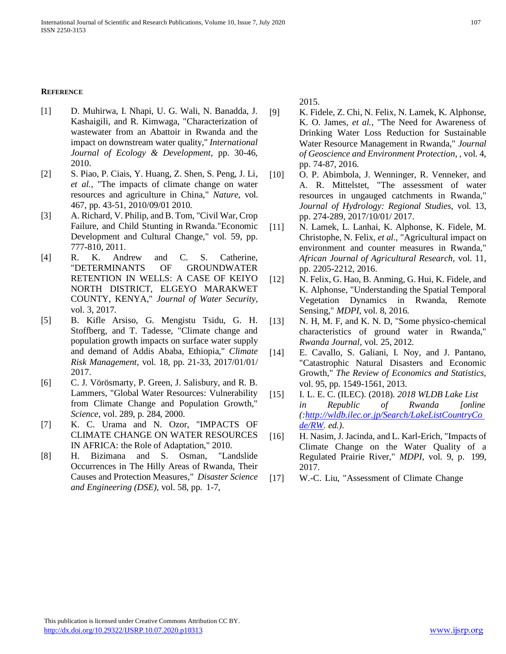# **REFERENCE**

- <span id="page-6-0"></span>[1] D. Muhirwa, I. Nhapi, U. G. Wali, N. Banadda, J. Kashaigili, and R. Kimwaga, "Characterization of wastewater from an Abattoir in Rwanda and the impact on downstream water quality," *International Journal of Ecology & Development,* pp. 30-46, 2010.
- <span id="page-6-1"></span>[2] S. Piao, P. Ciais, Y. Huang, Z. Shen, S. Peng, J. Li*, et al.*, "The impacts of climate change on water resources and agriculture in China," *Nature,* vol. 467, pp. 43-51, 2010/09/01 2010.
- <span id="page-6-2"></span>[3] A. Richard, V. Philip, and B. Tom, "Civil War, Crop Failure, and Child Stunting in Rwanda."Economic Development and Cultural Change," vol. 59, pp. 777-810, 2011.
- <span id="page-6-3"></span>[4] R. K. Andrew and C. S. Catherine, "DETERMINANTS OF GROUNDWATER RETENTION IN WELLS: A CASE OF KEIYO NORTH DISTRICT, ELGEYO MARAKWET COUNTY, KENYA," *Journal of Water Security,*  vol. 3, 2017.
- <span id="page-6-4"></span>[5] B. Kifle Arsiso, G. Mengistu Tsidu, G. H. Stoffberg, and T. Tadesse, "Climate change and population growth impacts on surface water supply and demand of Addis Ababa, Ethiopia," *Climate Risk Management,* vol. 18, pp. 21-33, 2017/01/01/ 2017.
- <span id="page-6-5"></span>[6] C. J. Vörösmarty, P. Green, J. Salisbury, and R. B. Lammers, "Global Water Resources: Vulnerability from Climate Change and Population Growth," *Science,* vol. 289, p. 284, 2000.
- <span id="page-6-6"></span>[7] K. C. Urama and N. Ozor, "IMPACTS OF CLIMATE CHANGE ON WATER RESOURCES IN AFRICA: the Role of Adaptation," 2010.
- <span id="page-6-7"></span>[8] H. Bizimana and S. Osman, "Landslide Occurrences in The Hilly Areas of Rwanda, Their Causes and Protection Measures," *Disaster Science and Engineering (DSE),* vol. 58, pp. 1-7,

2015.

- <span id="page-6-8"></span>[9] K. Fidele, Z. Chi, N. Felix, N. Lamek, K. Alphonse, K. O. James*, et al.*, "The Need for Awareness of Drinking Water Loss Reduction for Sustainable Water Resource Management in Rwanda," *Journal of Geoscience and Environment Protection, ,* vol. 4, pp. 74-87, 2016.
- <span id="page-6-9"></span>[10] O. P. Abimbola, J. Wenninger, R. Venneker, and A. R. Mittelstet, "The assessment of water resources in ungauged catchments in Rwanda," *Journal of Hydrology: Regional Studies,* vol. 13, pp. 274-289, 2017/10/01/ 2017.
- [11] N. Lamek, L. Lanhai, K. Alphonse, K. Fidele, M. Christophe, N. Felix*, et al.*, "Agricultural impact on environment and counter measures in Rwanda," *African Journal of Agricultural Research,* vol. 11, pp. 2205-2212, 2016.
- [12] N. Felix, G. Hao, B. Anming, G. Hui, K. Fidele, and K. Alphonse, "Understanding the Spatial Temporal Vegetation Dynamics in Rwanda, Remote Sensing," *MDPI,* vol. 8, 2016.
- <span id="page-6-10"></span>[13] N. H, M. F, and K. N. D, "Some physico-chemical characteristics of ground water in Rwanda," *Rwanda Journal,* vol. 25, 2012.
- <span id="page-6-11"></span>[14] E. Cavallo, S. Galiani, I. Noy, and J. Pantano, "Catastrophic Natural Disasters and Economic Growth," *The Review of Economics and Statistics,*  vol. 95, pp. 1549-1561, 2013.
- <span id="page-6-12"></span>[15] I. L. E. C. (ILEC). (2018). *2018 WLDB Lake List in Republic of Rwanda [online ([:http://wldb.ilec.or.jp/Search/LakeListCountryCo](http://wldb.ilec.or.jp/Search/LakeListCountryCode/RW) [de/RW.](http://wldb.ilec.or.jp/Search/LakeListCountryCode/RW) ed.)*.
- <span id="page-6-13"></span>[16] H. Nasim, J. Jacinda, and L. Karl-Erich, "Impacts of Climate Change on the Water Quality of a Regulated Prairie River," *MDPI,* vol. 9, p. 199, 2017.
- <span id="page-6-14"></span>[17] W.-C. Liu, "Assessment of Climate Change